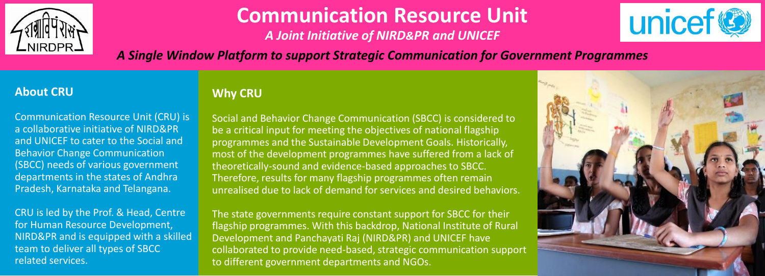

# **Communication Resource Unit**

*A Joint Initiative of NIRD&PR and UNICEF*



*A Single Window Platform to support Strategic Communication for Government Programmes*

### **About CRU**

Communication Resource Unit (CRU) is a collaborative initiative of NIRD&PR and UNICEF to cater to the Social and Behavior Change Communication (SBCC) needs of various government departments in the states of Andhra Pradesh, Karnataka and Telangana.

CRU is led by the Prof. & Head, Centre for Human Resource Development, NIRD&PR and is equipped with a skilled team to deliver all types of SBCC related services.

## **Why CRU**

Social and Behavior Change Communication (SBCC) is considered to be a critical input for meeting the objectives of national flagship programmes and the Sustainable Development Goals. Historically, most of the development programmes have suffered from a lack of theoretically-sound and evidence-based approaches to SBCC. Therefore, results for many flagship programmes often remain unrealised due to lack of demand for services and desired behaviors.

The state governments require constant support for SBCC for their flagship programmes. With this backdrop, National Institute of Rural Development and Panchayati Raj (NIRD&PR) and UNICEF have collaborated to provide need-based, strategic communication support to different government departments and NGOs.